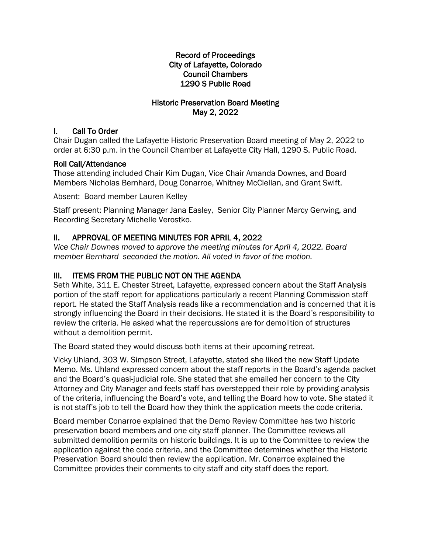## Record of Proceedings City of Lafayette, Colorado Council Chambers 1290 S Public Road

## Historic Preservation Board Meeting May 2, 2022

## I. Call To Order

Chair Dugan called the Lafayette Historic Preservation Board meeting of May 2, 2022 to order at 6:30 p.m. in the Council Chamber at Lafayette City Hall, 1290 S. Public Road.

## Roll Call/Attendance

Those attending included Chair Kim Dugan, Vice Chair Amanda Downes, and Board Members Nicholas Bernhard, Doug Conarroe, Whitney McClellan, and Grant Swift.

Absent: Board member Lauren Kelley

Staff present: Planning Manager Jana Easley, Senior City Planner Marcy Gerwing, and Recording Secretary Michelle Verostko.

# II. APPROVAL OF MEETING MINUTES FOR APRIL 4, 2022

*Vice Chair Downes moved to approve the meeting minutes for April 4, 2022. Board member Bernhard seconded the motion. All voted in favor of the motion.*

## III. ITEMS FROM THE PUBLIC NOT ON THE AGENDA

Seth White, 311 E. Chester Street, Lafayette, expressed concern about the Staff Analysis portion of the staff report for applications particularly a recent Planning Commission staff report. He stated the Staff Analysis reads like a recommendation and is concerned that it is strongly influencing the Board in their decisions. He stated it is the Board's responsibility to review the criteria. He asked what the repercussions are for demolition of structures without a demolition permit.

The Board stated they would discuss both items at their upcoming retreat.

Vicky Uhland, 303 W. Simpson Street, Lafayette, stated she liked the new Staff Update Memo. Ms. Uhland expressed concern about the staff reports in the Board's agenda packet and the Board's quasi-judicial role. She stated that she emailed her concern to the City Attorney and City Manager and feels staff has overstepped their role by providing analysis of the criteria, influencing the Board's vote, and telling the Board how to vote. She stated it is not staff's job to tell the Board how they think the application meets the code criteria.

Board member Conarroe explained that the Demo Review Committee has two historic preservation board members and one city staff planner. The Committee reviews all submitted demolition permits on historic buildings. It is up to the Committee to review the application against the code criteria, and the Committee determines whether the Historic Preservation Board should then review the application. Mr. Conarroe explained the Committee provides their comments to city staff and city staff does the report.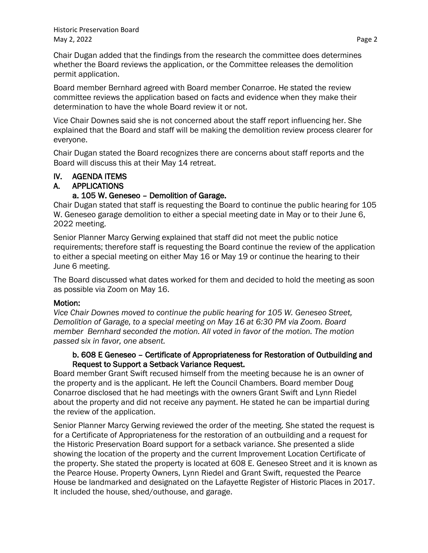Historic Preservation Board May 2, 2022 **Page 2** 

Chair Dugan added that the findings from the research the committee does determines whether the Board reviews the application, or the Committee releases the demolition permit application.

Board member Bernhard agreed with Board member Conarroe. He stated the review committee reviews the application based on facts and evidence when they make their determination to have the whole Board review it or not.

Vice Chair Downes said she is not concerned about the staff report influencing her. She explained that the Board and staff will be making the demolition review process clearer for everyone.

Chair Dugan stated the Board recognizes there are concerns about staff reports and the Board will discuss this at their May 14 retreat.

#### IV. AGENDA ITEMS

#### A. APPLICATIONS

#### a. 105 W. Geneseo – Demolition of Garage.

Chair Dugan stated that staff is requesting the Board to continue the public hearing for 105 W. Geneseo garage demolition to either a special meeting date in May or to their June 6, 2022 meeting.

Senior Planner Marcy Gerwing explained that staff did not meet the public notice requirements; therefore staff is requesting the Board continue the review of the application to either a special meeting on either May 16 or May 19 or continue the hearing to their June 6 meeting.

The Board discussed what dates worked for them and decided to hold the meeting as soon as possible via Zoom on May 16.

#### Motion:

*Vice Chair Downes moved to continue the public hearing for 105 W. Geneseo Street, Demolition of Garage, to a special meeting on May 16 at 6:30 PM via Zoom. Board member Bernhard seconded the motion. All voted in favor of the motion. The motion passed six in favor, one absent.*

#### b. 608 E Geneseo – Certificate of Appropriateness for Restoration of Outbuilding and Request to Support a Setback Variance Request.

Board member Grant Swift recused himself from the meeting because he is an owner of the property and is the applicant. He left the Council Chambers. Board member Doug Conarroe disclosed that he had meetings with the owners Grant Swift and Lynn Riedel about the property and did not receive any payment. He stated he can be impartial during the review of the application.

Senior Planner Marcy Gerwing reviewed the order of the meeting. She stated the request is for a Certificate of Appropriateness for the restoration of an outbuilding and a request for the Historic Preservation Board support for a setback variance. She presented a slide showing the location of the property and the current Improvement Location Certificate of the property. She stated the property is located at 608 E. Geneseo Street and it is known as the Pearce House. Property Owners, Lynn Riedel and Grant Swift, requested the Pearce House be landmarked and designated on the Lafayette Register of Historic Places in 2017. It included the house, shed/outhouse, and garage.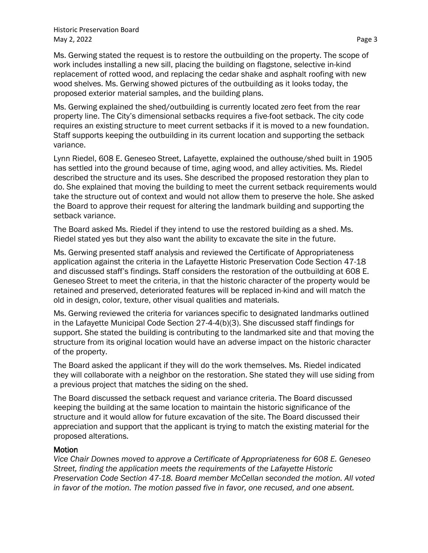Ms. Gerwing stated the request is to restore the outbuilding on the property. The scope of work includes installing a new sill, placing the building on flagstone, selective in-kind replacement of rotted wood, and replacing the cedar shake and asphalt roofing with new wood shelves. Ms. Gerwing showed pictures of the outbuilding as it looks today, the proposed exterior material samples, and the building plans.

Ms. Gerwing explained the shed/outbuilding is currently located zero feet from the rear property line. The City's dimensional setbacks requires a five-foot setback. The city code requires an existing structure to meet current setbacks if it is moved to a new foundation. Staff supports keeping the outbuilding in its current location and supporting the setback variance.

Lynn Riedel, 608 E. Geneseo Street, Lafayette, explained the outhouse/shed built in 1905 has settled into the ground because of time, aging wood, and alley activities. Ms. Riedel described the structure and its uses. She described the proposed restoration they plan to do. She explained that moving the building to meet the current setback requirements would take the structure out of context and would not allow them to preserve the hole. She asked the Board to approve their request for altering the landmark building and supporting the setback variance.

The Board asked Ms. Riedel if they intend to use the restored building as a shed. Ms. Riedel stated yes but they also want the ability to excavate the site in the future.

Ms. Gerwing presented staff analysis and reviewed the Certificate of Appropriateness application against the criteria in the Lafayette Historic Preservation Code Section 47-18 and discussed staff's findings. Staff considers the restoration of the outbuilding at 608 E. Geneseo Street to meet the criteria, in that the historic character of the property would be retained and preserved, deteriorated features will be replaced in-kind and will match the old in design, color, texture, other visual qualities and materials.

Ms. Gerwing reviewed the criteria for variances specific to designated landmarks outlined in the Lafayette Municipal Code Section 27-4-4(b)(3). She discussed staff findings for support. She stated the building is contributing to the landmarked site and that moving the structure from its original location would have an adverse impact on the historic character of the property.

The Board asked the applicant if they will do the work themselves. Ms. Riedel indicated they will collaborate with a neighbor on the restoration. She stated they will use siding from a previous project that matches the siding on the shed.

The Board discussed the setback request and variance criteria. The Board discussed keeping the building at the same location to maintain the historic significance of the structure and it would allow for future excavation of the site. The Board discussed their appreciation and support that the applicant is trying to match the existing material for the proposed alterations.

#### **Motion**

*Vice Chair Downes moved to approve a Certificate of Appropriateness for 608 E. Geneseo Street, finding the application meets the requirements of the Lafayette Historic Preservation Code Section 47-18. Board member McCellan seconded the motion. All voted in favor of the motion. The motion passed five in favor, one recused, and one absent.*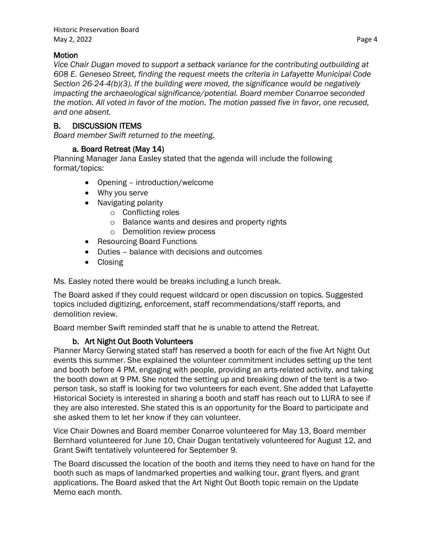## **Motion**

*Vice Chair Dugan moved to support a setback variance for the contributing outbuilding at 608 E. Geneseo Street, finding the request meets the criteria in Lafayette Municipal Code Section 26-24-4(b)(3). If the building were moved, the significance would be negatively impacting the archaeological significance/potential. Board member Conarroe seconded the motion. All voted in favor of the motion. The motion passed five in favor, one recused, and one absent.*

# B. DISCUSSION ITEMS

*Board member Swift returned to the meeting.*

## a. Board Retreat (May 14)

Planning Manager Jana Easley stated that the agenda will include the following format/topics:

- Opening introduction/welcome
- Why you serve
- Navigating polarity
	- o Conflicting roles
	- o Balance wants and desires and property rights
	- o Demolition review process
- Resourcing Board Functions
- Duties balance with decisions and outcomes
- Closing

Ms. Easley noted there would be breaks including a lunch break.

The Board asked if they could request wildcard or open discussion on topics. Suggested topics included digitizing, enforcement, staff recommendations/staff reports, and demolition review.

Board member Swift reminded staff that he is unable to attend the Retreat.

# b. Art Night Out Booth Volunteers

Planner Marcy Gerwing stated staff has reserved a booth for each of the five Art Night Out events this summer. She explained the volunteer commitment includes setting up the tent and booth before 4 PM, engaging with people, providing an arts-related activity, and taking the booth down at 9 PM. She noted the setting up and breaking down of the tent is a twoperson task, so staff is looking for two volunteers for each event. She added that Lafayette Historical Society is interested in sharing a booth and staff has reach out to LURA to see if they are also interested. She stated this is an opportunity for the Board to participate and she asked them to let her know if they can volunteer.

Vice Chair Downes and Board member Conarroe volunteered for May 13, Board member Bernhard volunteered for June 10, Chair Dugan tentatively volunteered for August 12, and Grant Swift tentatively volunteered for September 9.

The Board discussed the location of the booth and items they need to have on hand for the booth such as maps of landmarked properties and walking tour, grant flyers, and grant applications. The Board asked that the Art Night Out Booth topic remain on the Update Memo each month.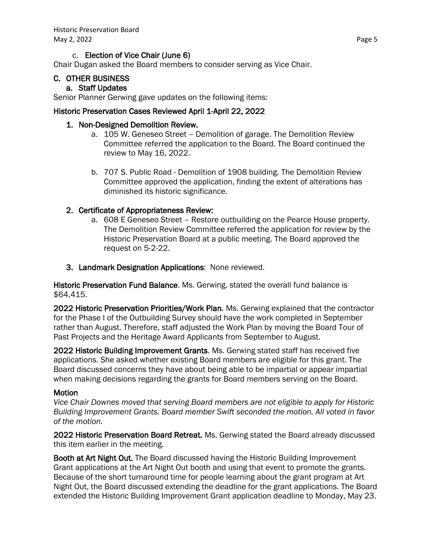### c. Election of Vice Chair (June 6)

Chair Dugan asked the Board members to consider serving as Vice Chair.

## C. OTHER BUSINESS

#### a. Staff Updates

Senior Planner Gerwing gave updates on the following items:

### Historic Preservation Cases Reviewed April 1-April 22, 2022

### 1. Non-Designed Demolition Review.

- a. 105 W. Geneseo Street Demolition of garage. The Demolition Review Committee referred the application to the Board. The Board continued the review to May 16, 2022.
- b. 707 S. Public Road Demolition of 1908 building. The Demolition Review Committee approved the application, finding the extent of alterations has diminished its historic significance.

## 2. Certificate of Appropriateness Review:

- a. 608 E Geneseo Street Restore outbuilding on the Pearce House property. The Demolition Review Committee referred the application for review by the Historic Preservation Board at a public meeting. The Board approved the request on 5-2-22.
- 3. Landmark Designation Applications: None reviewed.

Historic Preservation Fund Balance. Ms. Gerwing. stated the overall fund balance is \$64,415.

2022 Historic Preservation Priorities/Work Plan. Ms. Gerwing explained that the contractor for the Phase I of the Outbuilding Survey should have the work completed in September rather than August. Therefore, staff adjusted the Work Plan by moving the Board Tour of Past Projects and the Heritage Award Applicants from September to August.

2022 Historic Building Improvement Grants. Ms. Gerwing stated staff has received five applications. She asked whether existing Board members are eligible for this grant. The Board discussed concerns they have about being able to be impartial or appear impartial when making decisions regarding the grants for Board members serving on the Board.

#### Motion

*Vice Chair Downes moved that serving Board members are not eligible to apply for Historic Building Improvement Grants. Board member Swift seconded the motion. All voted in favor of the motion.*

2022 Historic Preservation Board Retreat. Ms. Gerwing stated the Board already discussed this item earlier in the meeting.

Booth at Art Night Out. The Board discussed having the Historic Building Improvement Grant applications at the Art Night Out booth and using that event to promote the grants. Because of the short turnaround time for people learning about the grant program at Art Night Out, the Board discussed extending the deadline for the grant applications. The Board extended the Historic Building Improvement Grant application deadline to Monday, May 23.